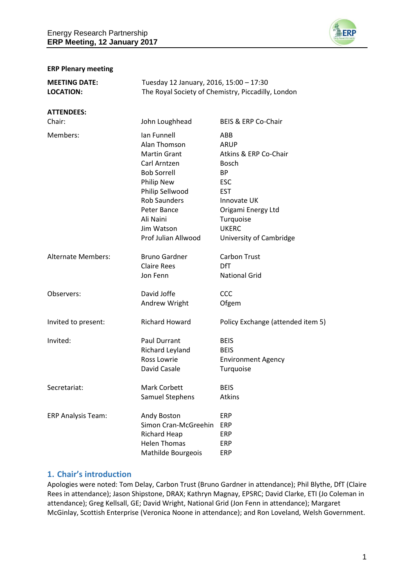

#### **ERP Plenary meeting**

| <b>MEETING DATE:</b><br><b>LOCATION:</b> | Tuesday 12 January, 2016, 15:00 - 17:30<br>The Royal Society of Chemistry, Piccadilly, London                                                                                                                     |                                                                                                                                                                                            |
|------------------------------------------|-------------------------------------------------------------------------------------------------------------------------------------------------------------------------------------------------------------------|--------------------------------------------------------------------------------------------------------------------------------------------------------------------------------------------|
| <b>ATTENDEES:</b><br>Chair:              | John Loughhead                                                                                                                                                                                                    | BEIS & ERP Co-Chair                                                                                                                                                                        |
| Members:                                 | Ian Funnell<br>Alan Thomson<br><b>Martin Grant</b><br>Carl Arntzen<br><b>Bob Sorrell</b><br>Philip New<br>Philip Sellwood<br><b>Rob Saunders</b><br>Peter Bance<br>Ali Naini<br>Jim Watson<br>Prof Julian Allwood | ABB<br>ARUP<br>Atkins & ERP Co-Chair<br><b>Bosch</b><br><b>BP</b><br><b>ESC</b><br><b>EST</b><br>Innovate UK<br>Origami Energy Ltd<br>Turquoise<br><b>UKERC</b><br>University of Cambridge |
| <b>Alternate Members:</b>                | <b>Bruno Gardner</b><br><b>Claire Rees</b><br>Jon Fenn                                                                                                                                                            | <b>Carbon Trust</b><br><b>DfT</b><br><b>National Grid</b>                                                                                                                                  |
| Observers:                               | David Joffe<br>Andrew Wright                                                                                                                                                                                      | CCC<br>Ofgem                                                                                                                                                                               |
| Invited to present:                      | <b>Richard Howard</b>                                                                                                                                                                                             | Policy Exchange (attended item 5)                                                                                                                                                          |
| Invited:                                 | <b>Paul Durrant</b><br>Richard Leyland<br>Ross Lowrie<br>David Casale                                                                                                                                             | <b>BEIS</b><br><b>BEIS</b><br><b>Environment Agency</b><br>Turquoise                                                                                                                       |
| Secretariat:                             | <b>Mark Corbett</b><br>Samuel Stephens                                                                                                                                                                            | <b>BEIS</b><br>Atkins                                                                                                                                                                      |
| <b>ERP Analysis Team:</b>                | Andy Boston<br>Simon Cran-McGreehin<br>Richard Heap<br><b>Helen Thomas</b><br>Mathilde Bourgeois                                                                                                                  | ERP<br><b>ERP</b><br>ERP<br>ERP<br>ERP                                                                                                                                                     |

## **1. Chair's introduction**

Apologies were noted: Tom Delay, Carbon Trust (Bruno Gardner in attendance); Phil Blythe, DfT (Claire Rees in attendance); Jason Shipstone, DRAX; Kathryn Magnay, EPSRC; David Clarke, ETI (Jo Coleman in attendance); Greg Kellsall, GE; David Wright, National Grid (Jon Fenn in attendance); Margaret McGinlay, Scottish Enterprise (Veronica Noone in attendance); and Ron Loveland, Welsh Government.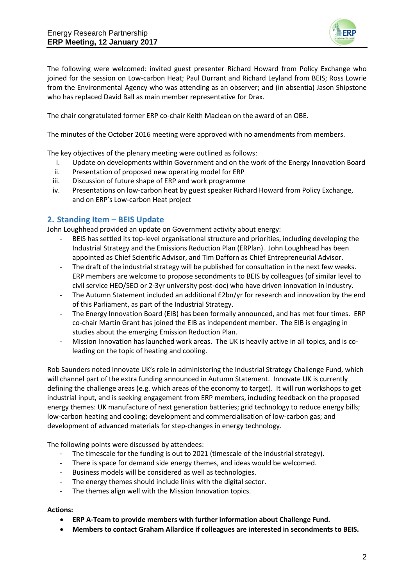

The following were welcomed: invited guest presenter Richard Howard from Policy Exchange who joined for the session on Low-carbon Heat; Paul Durrant and Richard Leyland from BEIS; Ross Lowrie from the Environmental Agency who was attending as an observer; and (in absentia) Jason Shipstone who has replaced David Ball as main member representative for Drax.

The chair congratulated former ERP co-chair Keith Maclean on the award of an OBE.

The minutes of the October 2016 meeting were approved with no amendments from members.

The key objectives of the plenary meeting were outlined as follows:

- i. Update on developments within Government and on the work of the Energy Innovation Board
- ii. Presentation of proposed new operating model for ERP
- iii. Discussion of future shape of ERP and work programme
- iv. Presentations on low-carbon heat by guest speaker Richard Howard from Policy Exchange, and on ERP's Low-carbon Heat project

## **2. Standing Item – BEIS Update**

John Loughhead provided an update on Government activity about energy:

- BEIS has settled its top-level organisational structure and priorities, including developing the Industrial Strategy and the Emissions Reduction Plan (ERPlan). John Loughhead has been appointed as Chief Scientific Advisor, and Tim Dafforn as Chief Entrepreneurial Advisor.
- The draft of the industrial strategy will be published for consultation in the next few weeks. ERP members are welcome to propose secondments to BEIS by colleagues (of similar level to civil service HEO/SEO or 2-3yr university post-doc) who have driven innovation in industry.
- The Autumn Statement included an additional £2bn/yr for research and innovation by the end of this Parliament, as part of the Industrial Strategy.
- The Energy Innovation Board (EIB) has been formally announced, and has met four times. ERP co-chair Martin Grant has joined the EIB as independent member. The EIB is engaging in studies about the emerging Emission Reduction Plan.
- Mission Innovation has launched work areas. The UK is heavily active in all topics, and is coleading on the topic of heating and cooling.

Rob Saunders noted Innovate UK's role in administering the Industrial Strategy Challenge Fund, which will channel part of the extra funding announced in Autumn Statement. Innovate UK is currently defining the challenge areas (e.g. which areas of the economy to target). It will run workshops to get industrial input, and is seeking engagement from ERP members, including feedback on the proposed energy themes: UK manufacture of next generation batteries; grid technology to reduce energy bills; low-carbon heating and cooling; development and commercialisation of low-carbon gas; and development of advanced materials for step-changes in energy technology.

The following points were discussed by attendees:

- The timescale for the funding is out to 2021 (timescale of the industrial strategy).
- There is space for demand side energy themes, and ideas would be welcomed.
- Business models will be considered as well as technologies.
- The energy themes should include links with the digital sector.
- The themes align well with the Mission Innovation topics.

#### **Actions:**

- **ERP A-Team to provide members with further information about Challenge Fund.**
- **Members to contact Graham Allardice if colleagues are interested in secondments to BEIS.**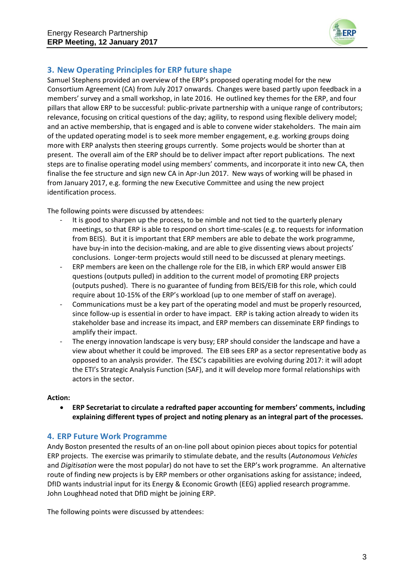

# **3. New Operating Principles for ERP future shape**

Samuel Stephens provided an overview of the ERP's proposed operating model for the new Consortium Agreement (CA) from July 2017 onwards. Changes were based partly upon feedback in a members' survey and a small workshop, in late 2016. He outlined key themes for the ERP, and four pillars that allow ERP to be successful: public-private partnership with a unique range of contributors; relevance, focusing on critical questions of the day; agility, to respond using flexible delivery model; and an active membership, that is engaged and is able to convene wider stakeholders. The main aim of the updated operating model is to seek more member engagement, e.g. working groups doing more with ERP analysts then steering groups currently. Some projects would be shorter than at present. The overall aim of the ERP should be to deliver impact after report publications. The next steps are to finalise operating model using members' comments, and incorporate it into new CA, then finalise the fee structure and sign new CA in Apr-Jun 2017. New ways of working will be phased in from January 2017, e.g. forming the new Executive Committee and using the new project identification process.

The following points were discussed by attendees:

- It is good to sharpen up the process, to be nimble and not tied to the quarterly plenary meetings, so that ERP is able to respond on short time-scales (e.g. to requests for information from BEIS). But it is important that ERP members are able to debate the work programme, have buy-in into the decision-making, and are able to give dissenting views about projects' conclusions. Longer-term projects would still need to be discussed at plenary meetings.
- ERP members are keen on the challenge role for the EIB, in which ERP would answer EIB questions (outputs pulled) in addition to the current model of promoting ERP projects (outputs pushed). There is no guarantee of funding from BEIS/EIB for this role, which could require about 10-15% of the ERP's workload (up to one member of staff on average).
- Communications must be a key part of the operating model and must be properly resourced, since follow-up is essential in order to have impact. ERP is taking action already to widen its stakeholder base and increase its impact, and ERP members can disseminate ERP findings to amplify their impact.
- The energy innovation landscape is very busy; ERP should consider the landscape and have a view about whether it could be improved. The EIB sees ERP as a sector representative body as opposed to an analysis provider. The ESC's capabilities are evolving during 2017: it will adopt the ETI's Strategic Analysis Function (SAF), and it will develop more formal relationships with actors in the sector.

#### **Action:**

 **ERP Secretariat to circulate a redrafted paper accounting for members' comments, including explaining different types of project and noting plenary as an integral part of the processes.**

# **4. ERP Future Work Programme**

Andy Boston presented the results of an on-line poll about opinion pieces about topics for potential ERP projects. The exercise was primarily to stimulate debate, and the results (*Autonomous Vehicles* and *Digitisation* were the most popular) do not have to set the ERP's work programme. An alternative route of finding new projects is by ERP members or other organisations asking for assistance; indeed, DfID wants industrial input for its Energy & Economic Growth (EEG) applied research programme. John Loughhead noted that DfID might be joining ERP.

The following points were discussed by attendees: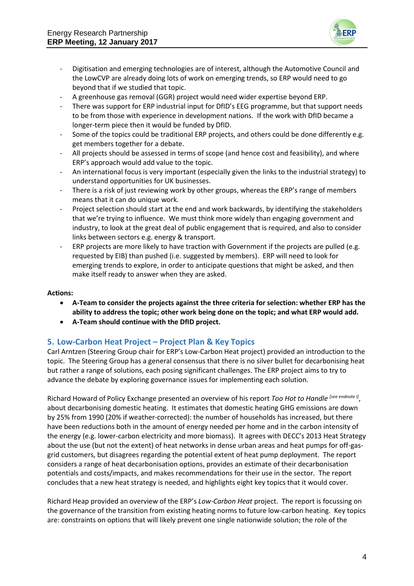

- Digitisation and emerging technologies are of interest, although the Automotive Council and the LowCVP are already doing lots of work on emerging trends, so ERP would need to go beyond that if we studied that topic.
- A greenhouse gas removal (GGR) project would need wider expertise beyond ERP.
- There was support for ERP industrial input for DfID's EEG programme, but that support needs to be from those with experience in development nations. If the work with DfID became a longer-term piece then it would be funded by DfID.
- Some of the topics could be traditional ERP projects, and others could be done differently e.g. get members together for a debate.
- All projects should be assessed in terms of scope (and hence cost and feasibility), and where ERP's approach would add value to the topic.
- An international focus is very important (especially given the links to the industrial strategy) to understand opportunities for UK businesses.
- There is a risk of just reviewing work by other groups, whereas the ERP's range of members means that it can do unique work.
- Project selection should start at the end and work backwards, by identifying the stakeholders that we're trying to influence. We must think more widely than engaging government and industry, to look at the great deal of public engagement that is required, and also to consider links between sectors e.g. energy & transport.
- ERP projects are more likely to have traction with Government if the projects are pulled (e.g. requested by EIB) than pushed (i.e. suggested by members). ERP will need to look for emerging trends to explore, in order to anticipate questions that might be asked, and then make itself ready to answer when they are asked.

#### **Actions:**

- **A-Team to consider the projects against the three criteria for selection: whether ERP has the ability to address the topic; other work being done on the topic; and what ERP would add.**
- **A-Team should continue with the DfID project.**

## **5. Low-Carbon Heat Project – Project Plan & Key Topics**

Carl Arntzen (Steering Group chair for ERP's Low-Carbon Heat project) provided an introduction to the topic. The Steering Group has a general consensus that there is no silver bullet for decarbonising heat but rather a range of solutions, each posing significant challenges. The ERP project aims to try to advance the debate by exploring governance issues for implementing each solution.

Richard Howard of Policy Exchange presented an overview of his report *Too Hot to Handle [see endnote i]* , about decarbonising domestic heating. It estimates that domestic heating GHG emissions are down by 25% from 1990 (20% if weather-corrected): the number of households has increased, but there have been reductions both in the amount of energy needed per home and in the carbon intensity of the energy (e.g. lower-carbon electricity and more biomass). It agrees with DECC's 2013 Heat Strategy about the use (but not the extent) of heat networks in dense urban areas and heat pumps for off-gasgrid customers, but disagrees regarding the potential extent of heat pump deployment. The report considers a range of heat decarbonisation options, provides an estimate of their decarbonisation potentials and costs/impacts, and makes recommendations for their use in the sector. The report concludes that a new heat strategy is needed, and highlights eight key topics that it would cover.

Richard Heap provided an overview of the ERP's *Low-Carbon Heat* project. The report is focussing on the governance of the transition from existing heating norms to future low-carbon heating. Key topics are: constraints on options that will likely prevent one single nationwide solution; the role of the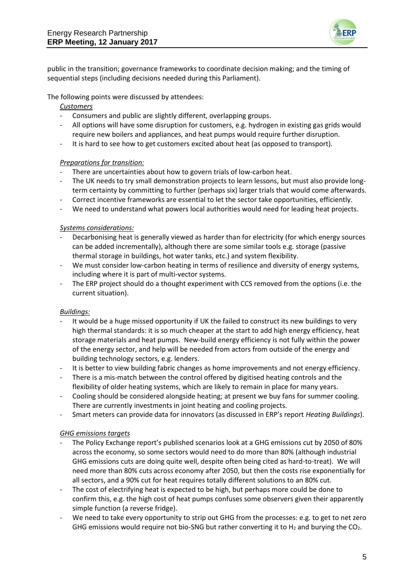

public in the transition; governance frameworks to coordinate decision making; and the timing of sequential steps (including decisions needed during this Parliament).

The following points were discussed by attendees:

### *Customers*

- Consumers and public are slightly different, overlapping groups.
- All options will have some disruption for customers, e.g. hydrogen in existing gas grids would require new boilers and appliances, and heat pumps would require further disruption.
- It is hard to see how to get customers excited about heat (as opposed to transport).

### *Preparations for transition:*

- There are uncertainties about how to govern trials of low-carbon heat.
- The UK needs to try small demonstration projects to learn lessons, but must also provide longterm certainty by committing to further (perhaps six) larger trials that would come afterwards.
- Correct incentive frameworks are essential to let the sector take opportunities, efficiently.
- We need to understand what powers local authorities would need for leading heat projects.

### *Systems considerations:*

- Decarbonising heat is generally viewed as harder than for electricity (for which energy sources can be added incrementally), although there are some similar tools e.g. storage (passive thermal storage in buildings, hot water tanks, etc.) and system flexibility.
- We must consider low-carbon heating in terms of resilience and diversity of energy systems, including where it is part of multi-vector systems.
- The ERP project should do a thought experiment with CCS removed from the options (i.e. the current situation).

## *Buildings:*

- It would be a huge missed opportunity if UK the failed to construct its new buildings to very high thermal standards: it is so much cheaper at the start to add high energy efficiency, heat storage materials and heat pumps. New-build energy efficiency is not fully within the power of the energy sector, and help will be needed from actors from outside of the energy and building technology sectors, e.g. lenders.
- It is better to view building fabric changes as home improvements and not energy efficiency.
- There is a mis-match between the control offered by digitised heating controls and the flexibility of older heating systems, which are likely to remain in place for many years.
- Cooling should be considered alongside heating; at present we buy fans for summer cooling. There are currently investments in joint heating and cooling projects.
- Smart meters can provide data for innovators (as discussed in ERP's report *Heating Buildings*).

#### *GHG emissions targets*

- The Policy Exchange report's published scenarios look at a GHG emissions cut by 2050 of 80% across the economy, so some sectors would need to do more than 80% (although industrial GHG emissions cuts are doing quite well, despite often being cited as hard-to-treat). We will need more than 80% cuts across economy after 2050, but then the costs rise exponentially for all sectors, and a 90% cut for heat requires totally different solutions to an 80% cut.
- The cost of electrifying heat is expected to be high, but perhaps more could be done to confirm this, e.g. the high cost of heat pumps confuses some observers given their apparently simple function (a reverse fridge).
- We need to take every opportunity to strip out GHG from the processes: e.g. to get to net zero GHG emissions would require not bio-SNG but rather converting it to  $H_2$  and burying the CO<sub>2</sub>.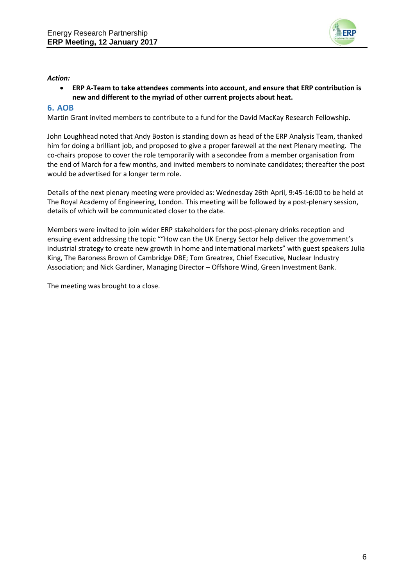

### *Action:*

 **ERP A-Team to take attendees comments into account, and ensure that ERP contribution is new and different to the myriad of other current projects about heat.**

## **6. AOB**

Martin Grant invited members to contribute to a fund for the David MacKay Research Fellowship.

John Loughhead noted that Andy Boston is standing down as head of the ERP Analysis Team, thanked him for doing a brilliant job, and proposed to give a proper farewell at the next Plenary meeting. The co-chairs propose to cover the role temporarily with a secondee from a member organisation from the end of March for a few months, and invited members to nominate candidates; thereafter the post would be advertised for a longer term role.

Details of the next plenary meeting were provided as: Wednesday 26th April, 9:45-16:00 to be held at The Royal Academy of Engineering, London. This meeting will be followed by a post-plenary session, details of which will be communicated closer to the date.

Members were invited to join wider ERP stakeholders for the post-plenary drinks reception and ensuing event addressing the topic ""How can the UK Energy Sector help deliver the government's industrial strategy to create new growth in home and international markets" with guest speakers Julia King, The Baroness Brown of Cambridge DBE; Tom Greatrex, Chief Executive, Nuclear Industry Association; and Nick Gardiner, Managing Director – Offshore Wind, Green Investment Bank.

The meeting was brought to a close.